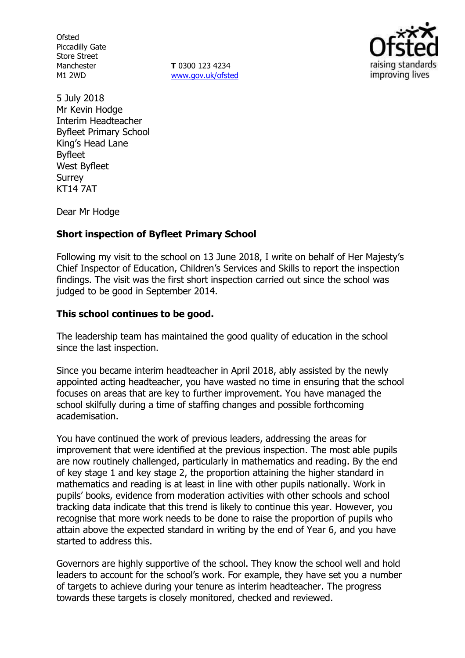**Ofsted** Piccadilly Gate Store Street Manchester M1 2WD

**T** 0300 123 4234 www.gov.uk/ofsted



5 July 2018 Mr Kevin Hodge Interim Headteacher Byfleet Primary School King's Head Lane Byfleet West Byfleet Surrey KT14 7AT

Dear Mr Hodge

## **Short inspection of Byfleet Primary School**

Following my visit to the school on 13 June 2018, I write on behalf of Her Majesty's Chief Inspector of Education, Children's Services and Skills to report the inspection findings. The visit was the first short inspection carried out since the school was judged to be good in September 2014.

# **This school continues to be good.**

The leadership team has maintained the good quality of education in the school since the last inspection.

Since you became interim headteacher in April 2018, ably assisted by the newly appointed acting headteacher, you have wasted no time in ensuring that the school focuses on areas that are key to further improvement. You have managed the school skilfully during a time of staffing changes and possible forthcoming academisation.

You have continued the work of previous leaders, addressing the areas for improvement that were identified at the previous inspection. The most able pupils are now routinely challenged, particularly in mathematics and reading. By the end of key stage 1 and key stage 2, the proportion attaining the higher standard in mathematics and reading is at least in line with other pupils nationally. Work in pupils' books, evidence from moderation activities with other schools and school tracking data indicate that this trend is likely to continue this year. However, you recognise that more work needs to be done to raise the proportion of pupils who attain above the expected standard in writing by the end of Year 6, and you have started to address this.

Governors are highly supportive of the school. They know the school well and hold leaders to account for the school's work. For example, they have set you a number of targets to achieve during your tenure as interim headteacher. The progress towards these targets is closely monitored, checked and reviewed.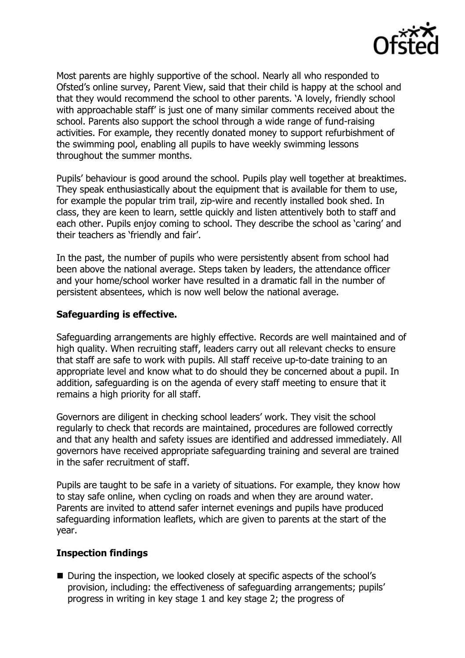

Most parents are highly supportive of the school. Nearly all who responded to Ofsted's online survey, Parent View, said that their child is happy at the school and that they would recommend the school to other parents. 'A lovely, friendly school with approachable staff' is just one of many similar comments received about the school. Parents also support the school through a wide range of fund-raising activities. For example, they recently donated money to support refurbishment of the swimming pool, enabling all pupils to have weekly swimming lessons throughout the summer months.

Pupils' behaviour is good around the school. Pupils play well together at breaktimes. They speak enthusiastically about the equipment that is available for them to use, for example the popular trim trail, zip-wire and recently installed book shed. In class, they are keen to learn, settle quickly and listen attentively both to staff and each other. Pupils enjoy coming to school. They describe the school as 'caring' and their teachers as 'friendly and fair'.

In the past, the number of pupils who were persistently absent from school had been above the national average. Steps taken by leaders, the attendance officer and your home/school worker have resulted in a dramatic fall in the number of persistent absentees, which is now well below the national average.

### **Safeguarding is effective.**

Safeguarding arrangements are highly effective. Records are well maintained and of high quality. When recruiting staff, leaders carry out all relevant checks to ensure that staff are safe to work with pupils. All staff receive up-to-date training to an appropriate level and know what to do should they be concerned about a pupil. In addition, safeguarding is on the agenda of every staff meeting to ensure that it remains a high priority for all staff.

Governors are diligent in checking school leaders' work. They visit the school regularly to check that records are maintained, procedures are followed correctly and that any health and safety issues are identified and addressed immediately. All governors have received appropriate safeguarding training and several are trained in the safer recruitment of staff.

Pupils are taught to be safe in a variety of situations. For example, they know how to stay safe online, when cycling on roads and when they are around water. Parents are invited to attend safer internet evenings and pupils have produced safeguarding information leaflets, which are given to parents at the start of the year.

#### **Inspection findings**

■ During the inspection, we looked closely at specific aspects of the school's provision, including: the effectiveness of safeguarding arrangements; pupils' progress in writing in key stage 1 and key stage 2; the progress of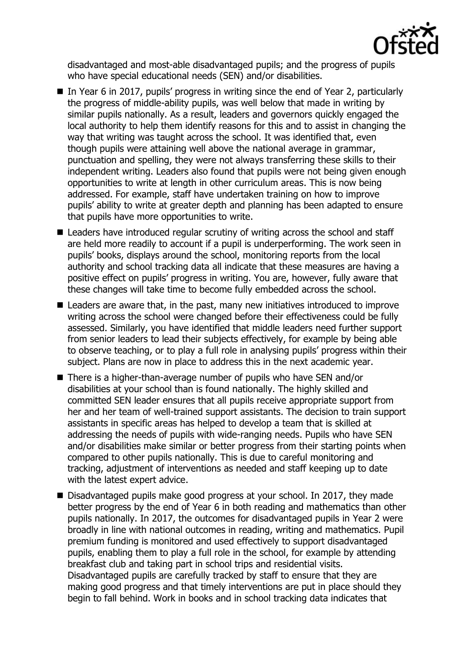

disadvantaged and most-able disadvantaged pupils; and the progress of pupils who have special educational needs (SEN) and/or disabilities.

- In Year 6 in 2017, pupils' progress in writing since the end of Year 2, particularly the progress of middle-ability pupils, was well below that made in writing by similar pupils nationally. As a result, leaders and governors quickly engaged the local authority to help them identify reasons for this and to assist in changing the way that writing was taught across the school. It was identified that, even though pupils were attaining well above the national average in grammar, punctuation and spelling, they were not always transferring these skills to their independent writing. Leaders also found that pupils were not being given enough opportunities to write at length in other curriculum areas. This is now being addressed. For example, staff have undertaken training on how to improve pupils' ability to write at greater depth and planning has been adapted to ensure that pupils have more opportunities to write.
- Leaders have introduced regular scrutiny of writing across the school and staff are held more readily to account if a pupil is underperforming. The work seen in pupils' books, displays around the school, monitoring reports from the local authority and school tracking data all indicate that these measures are having a positive effect on pupils' progress in writing. You are, however, fully aware that these changes will take time to become fully embedded across the school.
- Leaders are aware that, in the past, many new initiatives introduced to improve writing across the school were changed before their effectiveness could be fully assessed. Similarly, you have identified that middle leaders need further support from senior leaders to lead their subjects effectively, for example by being able to observe teaching, or to play a full role in analysing pupils' progress within their subject. Plans are now in place to address this in the next academic year.
- There is a higher-than-average number of pupils who have SEN and/or disabilities at your school than is found nationally. The highly skilled and committed SEN leader ensures that all pupils receive appropriate support from her and her team of well-trained support assistants. The decision to train support assistants in specific areas has helped to develop a team that is skilled at addressing the needs of pupils with wide-ranging needs. Pupils who have SEN and/or disabilities make similar or better progress from their starting points when compared to other pupils nationally. This is due to careful monitoring and tracking, adjustment of interventions as needed and staff keeping up to date with the latest expert advice.
- Disadvantaged pupils make good progress at your school. In 2017, they made better progress by the end of Year 6 in both reading and mathematics than other pupils nationally. In 2017, the outcomes for disadvantaged pupils in Year 2 were broadly in line with national outcomes in reading, writing and mathematics. Pupil premium funding is monitored and used effectively to support disadvantaged pupils, enabling them to play a full role in the school, for example by attending breakfast club and taking part in school trips and residential visits. Disadvantaged pupils are carefully tracked by staff to ensure that they are making good progress and that timely interventions are put in place should they begin to fall behind. Work in books and in school tracking data indicates that